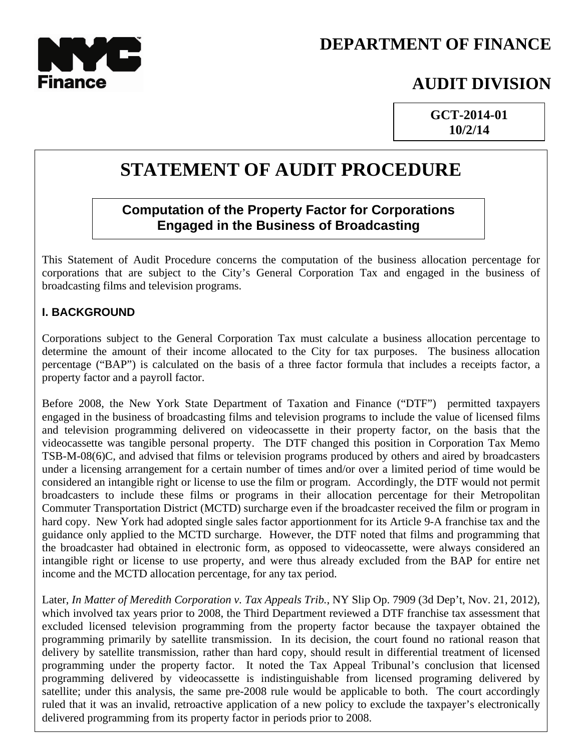

# **DEPARTMENT OF FINANCE**

## **AUDIT DIVISION**

**GCT-2014-01 10/2/14**

# **STATEMENT OF AUDIT PROCEDURE**

## **Computation of the Property Factor for Corporations Engaged in the Business of Broadcasting**

This Statement of Audit Procedure concerns the computation of the business allocation percentage for corporations that are subject to the City's General Corporation Tax and engaged in the business of broadcasting films and television programs.

#### **I. BACKGROUND**

Corporations subject to the General Corporation Tax must calculate a business allocation percentage to determine the amount of their income allocated to the City for tax purposes. The business allocation percentage ("BAP") is calculated on the basis of a three factor formula that includes a receipts factor, a property factor and a payroll factor.

Before 2008, the New York State Department of Taxation and Finance ("DTF") permitted taxpayers engaged in the business of broadcasting films and television programs to include the value of licensed films and television programming delivered on videocassette in their property factor, on the basis that the videocassette was tangible personal property. The DTF changed this position in Corporation Tax Memo TSB-M-08(6)C, and advised that films or television programs produced by others and aired by broadcasters under a licensing arrangement for a certain number of times and/or over a limited period of time would be considered an intangible right or license to use the film or program. Accordingly, the DTF would not permit broadcasters to include these films or programs in their allocation percentage for their Metropolitan Commuter Transportation District (MCTD) surcharge even if the broadcaster received the film or program in hard copy. New York had adopted single sales factor apportionment for its Article 9-A franchise tax and the guidance only applied to the MCTD surcharge. However, the DTF noted that films and programming that the broadcaster had obtained in electronic form, as opposed to videocassette, were always considered an intangible right or license to use property, and were thus already excluded from the BAP for entire net income and the MCTD allocation percentage, for any tax period.

Later, *In Matter of Meredith Corporation v. Tax Appeals Trib.*, NY Slip Op. 7909 (3d Dep't, Nov. 21, 2012), which involved tax years prior to 2008, the Third Department reviewed a DTF franchise tax assessment that excluded licensed television programming from the property factor because the taxpayer obtained the programming primarily by satellite transmission. In its decision, the court found no rational reason that delivery by satellite transmission, rather than hard copy, should result in differential treatment of licensed programming under the property factor. It noted the Tax Appeal Tribunal's conclusion that licensed programming delivered by videocassette is indistinguishable from licensed programing delivered by satellite; under this analysis, the same pre-2008 rule would be applicable to both. The court accordingly ruled that it was an invalid, retroactive application of a new policy to exclude the taxpayer's electronically delivered programming from its property factor in periods prior to 2008.